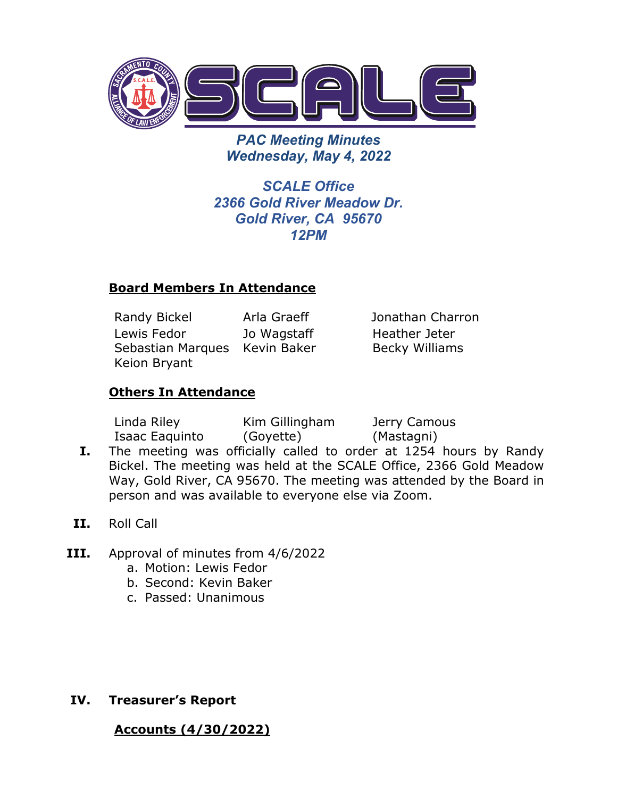

*PAC Meeting Minutes Wednesday, May 4, 2022* 

*SCALE Office 2366 Gold River Meadow Dr. Gold River, CA 95670 12PM*

### **Board Members In Attendance**

Randy Bickel Arla Graeff Jonathan Charron Lewis Fedor Sebastian Marques Kevin Baker Keion Bryant Jo Wagstaff

Heather Jeter Becky Williams

# **Others In Attendance**

Linda Riley Isaac Eaquinto Kim Gillingham (Goyette) Jerry Camous (Mastagni)

- **I.** The meeting was officially called to order at 1254 hours by Randy Bickel. The meeting was held at the SCALE Office, 2366 Gold Meadow Way, Gold River, CA 95670. The meeting was attended by the Board in person and was available to everyone else via Zoom.
- **II.** Roll Call
- **III.** Approval of minutes from 4/6/2022
	- a. Motion: Lewis Fedor
	- b. Second: Kevin Baker
	- c. Passed: Unanimous

**IV. Treasurer's Report** 

**Accounts (4/30/2022)**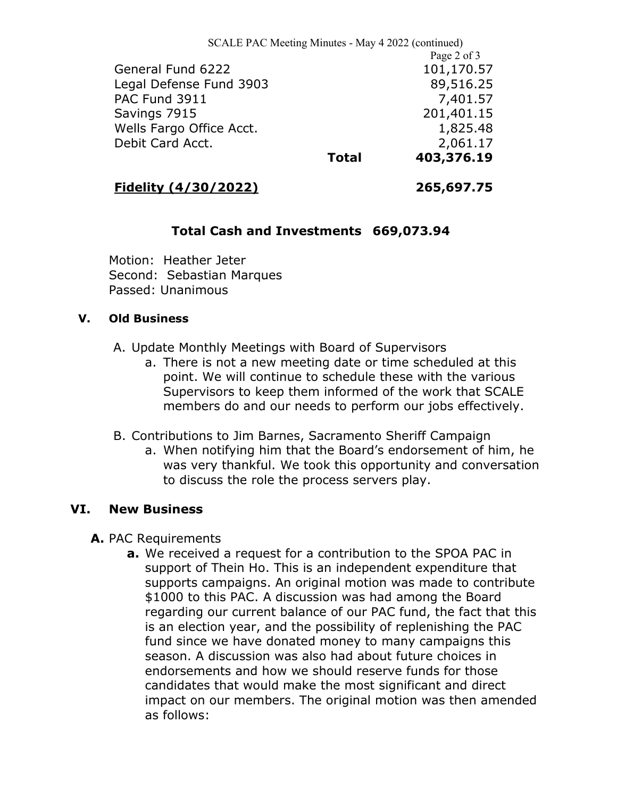SCALE PAC Meeting Minutes - May 4 2022 (continued) Page 2 of 3 General Fund 6222 101,170.57 Legal Defense Fund 3903 89,516.25 PAC Fund 3911 7,401.57 Savings 7915 201,401.15 Wells Fargo Office Acct. 1,825.48 Debit Card Acct. 2,061.17 **Total 403,376.19**

## **Fidelity (4/30/2022) 265,697.75**

# **Total Cash and Investments 669,073.94**

Motion: Heather Jeter Second: Sebastian Marques Passed: Unanimous

#### **V. Old Business**

- A. Update Monthly Meetings with Board of Supervisors
	- a. There is not a new meeting date or time scheduled at this point. We will continue to schedule these with the various Supervisors to keep them informed of the work that SCALE members do and our needs to perform our jobs effectively.
- B. Contributions to Jim Barnes, Sacramento Sheriff Campaign
	- a. When notifying him that the Board's endorsement of him, he was very thankful. We took this opportunity and conversation to discuss the role the process servers play.

### **VI. New Business**

- **A.** PAC Requirements
	- **a.** We received a request for a contribution to the SPOA PAC in support of Thein Ho. This is an independent expenditure that supports campaigns. An original motion was made to contribute \$1000 to this PAC. A discussion was had among the Board regarding our current balance of our PAC fund, the fact that this is an election year, and the possibility of replenishing the PAC fund since we have donated money to many campaigns this season. A discussion was also had about future choices in endorsements and how we should reserve funds for those candidates that would make the most significant and direct impact on our members. The original motion was then amended as follows: